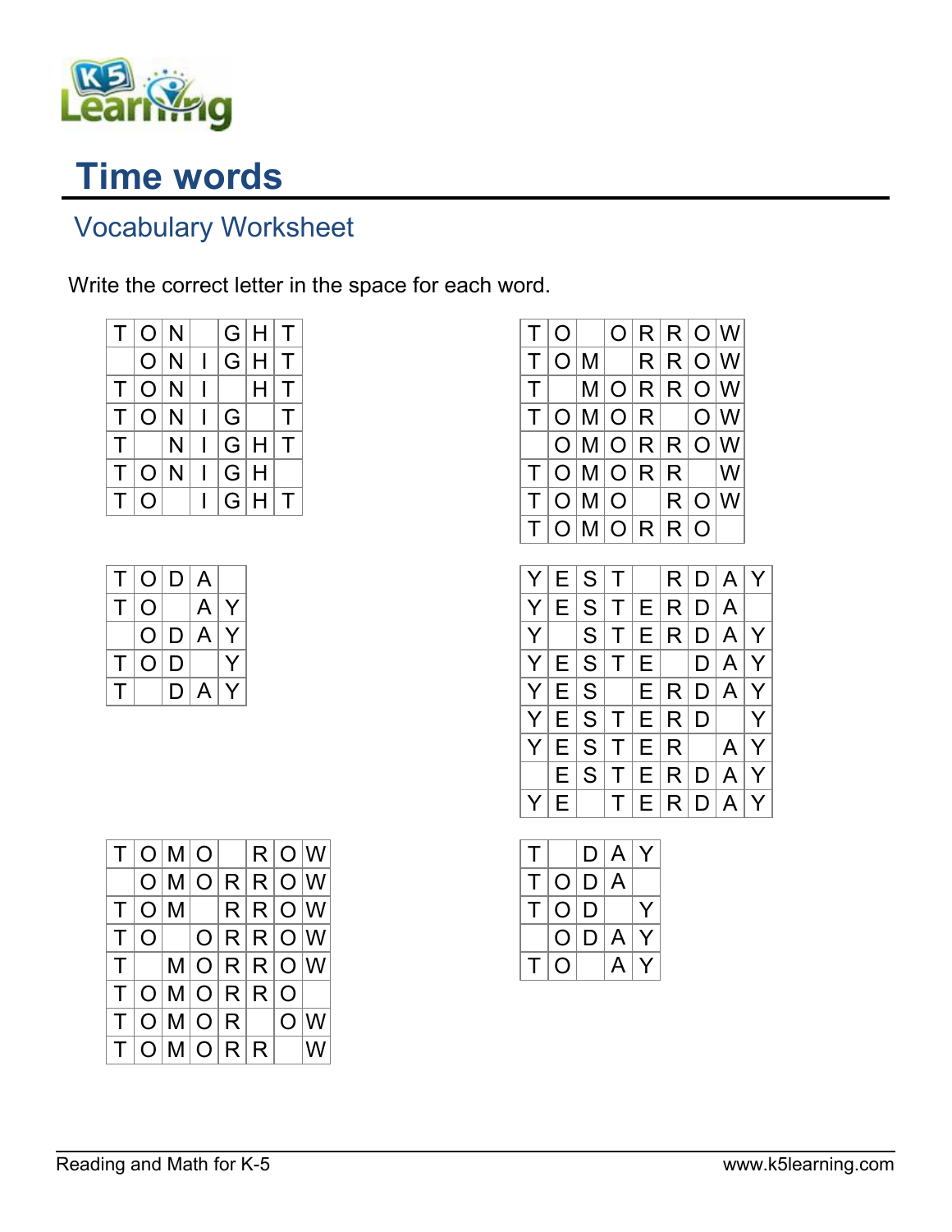

## Time words

## Vocabulary Worksheet

Write the correct letter in the space for each word.

|    | T  O N         |   |   |         | G H T |        |
|----|----------------|---|---|---------|-------|--------|
|    | O N            |   |   |         | G H T |        |
|    | T  O N         |   |   |         | H.    | $\top$ |
|    | T  O N         |   |   | G       |       | $\top$ |
| T. |                | N | L | G H     |       | $\top$ |
| T. | O <sub>1</sub> | N |   | $ G $ H |       |        |
| ΤI | O              |   |   | G H     |       | $\top$ |

| T. |    | O D A |   |   |
|----|----|-------|---|---|
| т  | O  |       | A | Y |
|    | O. | D A   |   | Y |
| т  | O. | D     |   |   |
| л. |    | D.    | A |   |

|   | O |   | O | R | R | $\overline{O}$ | W |   |
|---|---|---|---|---|---|----------------|---|---|
| Τ | O | Μ |   | R | R | O              | W |   |
| Τ |   | Μ | O | R | R | O              | W |   |
| Τ | O | Μ | O | R |   | O              | W |   |
|   | O | Μ | O | R | R | O              | W |   |
| Τ | O | Μ | O | R | R |                | W |   |
| T | O | Μ | O |   | R | O              | W |   |
| T | O | Μ | O | R | R | O              |   |   |
|   |   |   |   |   |   |                |   |   |
| Y | Ε | S | Τ |   | R | D              | A | Y |
| Y | E | S | Τ | Е | R | D              | A |   |
| Y |   | S | Τ | Е | R | D              | A | Y |
| Y | Е | S | Τ | Е |   | D              | A | Y |
| Y | Е | S |   | Е | R | D              | A | Y |
| Y | Е | S | Τ | Е | R | D              |   | Y |
|   |   |   |   |   |   |                |   |   |
| Y | Е | S | Τ | Е | R |                | Α | Y |
|   | Ε | S | Τ | Е | R | D              | Α | Y |

| т |              |      | D A              | Y |
|---|--------------|------|------------------|---|
| T |              | OID. | ∣A               |   |
| T | O.           | l D  |                  |   |
|   | O.           | ID.  | $\mathsf{A}$     |   |
| T | $\mathsf{O}$ |      | $\triangleright$ |   |

|  | $T O M O $ $ R O W$  |  |  |  |
|--|----------------------|--|--|--|
|  | O M O R R O W        |  |  |  |
|  | $T O M $ $ R R O W$  |  |  |  |
|  | $T O $ $ O R R O W$  |  |  |  |
|  | $T$ $ M O R R O W$   |  |  |  |
|  | T O M O R R O        |  |  |  |
|  | $T O M O R $   $O W$ |  |  |  |
|  | $T O M O R R $  W    |  |  |  |